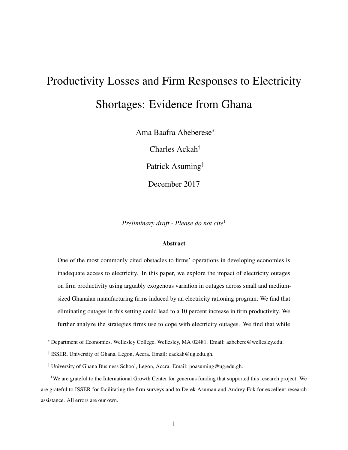# Productivity Losses and Firm Responses to Electricity Shortages: Evidence from Ghana

Ama Baafra Abeberese<sup>∗</sup>

Charles Ackah†

Patrick Asuming‡

December 2017

*Preliminary draft - Please do not cite*<sup>1</sup>

#### **Abstract**

One of the most commonly cited obstacles to firms' operations in developing economies is inadequate access to electricity. In this paper, we explore the impact of electricity outages on firm productivity using arguably exogenous variation in outages across small and mediumsized Ghanaian manufacturing firms induced by an electricity rationing program. We find that eliminating outages in this setting could lead to a 10 percent increase in firm productivity. We further analyze the strategies firms use to cope with electricity outages. We find that while

<sup>∗</sup> Department of Economics, Wellesley College, Wellesley, MA 02481. Email: aabebere@wellesley.edu.

<sup>†</sup> ISSER, University of Ghana, Legon, Accra. Email: cackah@ug.edu.gh.

<sup>‡</sup> University of Ghana Business School, Legon, Accra. Email: poasuming@ug.edu.gh.

<sup>&</sup>lt;sup>1</sup>We are grateful to the International Growth Center for generous funding that supported this research project. We are grateful to ISSER for facilitating the firm surveys and to Derek Asuman and Audrey Fok for excellent research assistance. All errors are our own.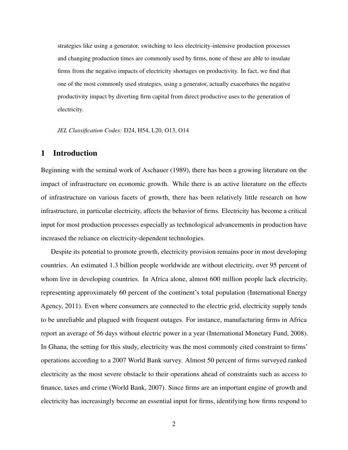strategies like using a generator, switching to less electricity-intensive production processes and changing production times are commonly used by firms, none of these are able to insulate firms from the negative impacts of electricity shortages on productivity. In fact, we find that one of the most commonly used strategies, using a generator, actually exacerbates the negative productivity impact by diverting firm capital from direct productive uses to the generation of electricity.

*JEL Classification Codes:* D24, H54, L20, O13, O14

## 1 Introduction

Beginning with the seminal work of Aschauer (1989), there has been a growing literature on the impact of infrastructure on economic growth. While there is an active literature on the effects of infrastructure on various facets of growth, there has been relatively little research on how infrastructure, in particular electricity, affects the behavior of firms. Electricity has become a critical input for most production processes especially as technological advancements in production have increased the reliance on electricity-dependent technologies.

Despite its potential to promote growth, electricity provision remains poor in most developing countries. An estimated 1.3 billion people worldwide are without electricity, over 95 percent of whom live in developing countries. In Africa alone, almost 600 million people lack electricity, representing approximately 60 percent of the continent's total population (International Energy Agency, 2011). Even where consumers are connected to the electric grid, electricity supply tends to be unreliable and plagued with frequent outages. For instance, manufacturing firms in Africa report an average of 56 days without electric power in a year (International Monetary Fund, 2008). In Ghana, the setting for this study, electricity was the most commonly cited constraint to firms' operations according to a 2007 World Bank survey. Almost 50 percent of firms surveyed ranked electricity as the most severe obstacle to their operations ahead of constraints such as access to finance, taxes and crime (World Bank, 2007). Since firms are an important engine of growth and electricity has increasingly become an essential input for firms, identifying how firms respond to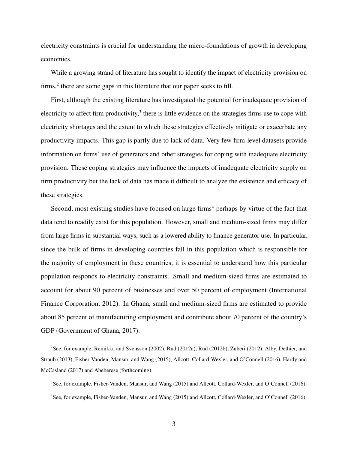electricity constraints is crucial for understanding the micro-foundations of growth in developing economies.

While a growing strand of literature has sought to identify the impact of electricity provision on firms,<sup>2</sup> there are some gaps in this literature that our paper seeks to fill.

First, although the existing literature has investigated the potential for inadequate provision of electricity to affect firm productivity,<sup>3</sup> there is little evidence on the strategies firms use to cope with electricity shortages and the extent to which these strategies effectively mitigate or exacerbate any productivity impacts. This gap is partly due to lack of data. Very few firm-level datasets provide information on firms' use of generators and other strategies for coping with inadequate electricity provision. These coping strategies may influence the impacts of inadequate electricity supply on firm productivity but the lack of data has made it difficult to analyze the existence and efficacy of these strategies.

Second, most existing studies have focused on large firms<sup>4</sup> perhaps by virtue of the fact that data tend to readily exist for this population. However, small and medium-sized firms may differ from large firms in substantial ways, such as a lowered ability to finance generator use. In particular, since the bulk of firms in developing countries fall in this population which is responsible for the majority of employment in these countries, it is essential to understand how this particular population responds to electricity constraints. Small and medium-sized firms are estimated to account for about 90 percent of businesses and over 50 percent of employment (International Finance Corporation, 2012). In Ghana, small and medium-sized firms are estimated to provide about 85 percent of manufacturing employment and contribute about 70 percent of the country's GDP (Government of Ghana, 2017).

<sup>2</sup>See, for example, Reinikka and Svensson (2002), Rud (2012a), Rud (2012b), Zuberi (2012), Alby, Dethier, and Straub (2013), Fisher-Vanden, Mansur, and Wang (2015), Allcott, Collard-Wexler, and O'Connell (2016), Hardy and McCasland (2017) and Abeberese (forthcoming).

<sup>3</sup>See, for example, Fisher-Vanden, Mansur, and Wang (2015) and Allcott, Collard-Wexler, and O'Connell (2016). <sup>4</sup>See, for example, Fisher-Vanden, Mansur, and Wang (2015) and Allcott, Collard-Wexler, and O'Connell (2016).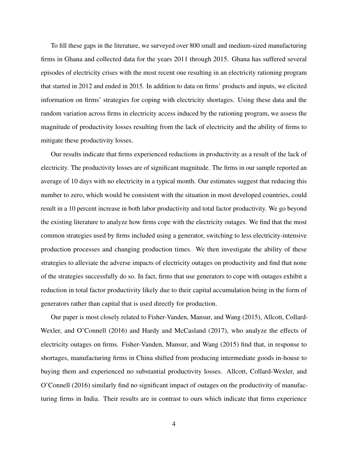To fill these gaps in the literature, we surveyed over 800 small and medium-sized manufacturing firms in Ghana and collected data for the years 2011 through 2015. Ghana has suffered several episodes of electricity crises with the most recent one resulting in an electricity rationing program that started in 2012 and ended in 2015. In addition to data on firms' products and inputs, we elicited information on firms' strategies for coping with electricity shortages. Using these data and the random variation across firms in electricity access induced by the rationing program, we assess the magnitude of productivity losses resulting from the lack of electricity and the ability of firms to mitigate these productivity losses.

Our results indicate that firms experienced reductions in productivity as a result of the lack of electricity. The productivity losses are of significant magnitude. The firms in our sample reported an average of 10 days with no electricity in a typical month. Our estimates suggest that reducing this number to zero, which would be consistent with the situation in most developed countries, could result in a 10 percent increase in both labor productivity and total factor productivity. We go beyond the existing literature to analyze how firms cope with the electricity outages. We find that the most common strategies used by firms included using a generator, switching to less electricity-intensive production processes and changing production times. We then investigate the ability of these strategies to alleviate the adverse impacts of electricity outages on productivity and find that none of the strategies successfully do so. In fact, firms that use generators to cope with outages exhibit a reduction in total factor productivity likely due to their capital accumulation being in the form of generators rather than capital that is used directly for production.

Our paper is most closely related to Fisher-Vanden, Mansur, and Wang (2015), Allcott, Collard-Wexler, and O'Connell (2016) and Hardy and McCasland (2017), who analyze the effects of electricity outages on firms. Fisher-Vanden, Mansur, and Wang (2015) find that, in response to shortages, manufacturing firms in China shifted from producing intermediate goods in-house to buying them and experienced no substantial productivity losses. Allcott, Collard-Wexler, and O'Connell (2016) similarly find no significant impact of outages on the productivity of manufacturing firms in India. Their results are in contrast to ours which indicate that firms experience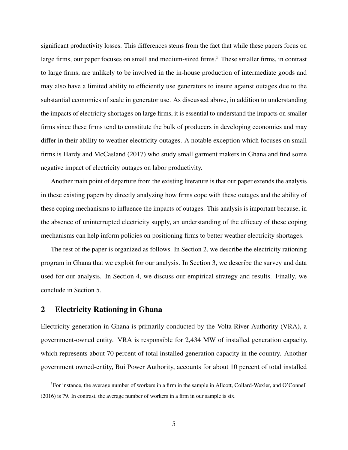significant productivity losses. This differences stems from the fact that while these papers focus on large firms, our paper focuses on small and medium-sized firms.<sup>5</sup> These smaller firms, in contrast to large firms, are unlikely to be involved in the in-house production of intermediate goods and may also have a limited ability to efficiently use generators to insure against outages due to the substantial economies of scale in generator use. As discussed above, in addition to understanding the impacts of electricity shortages on large firms, it is essential to understand the impacts on smaller firms since these firms tend to constitute the bulk of producers in developing economies and may differ in their ability to weather electricity outages. A notable exception which focuses on small firms is Hardy and McCasland (2017) who study small garment makers in Ghana and find some negative impact of electricity outages on labor productivity.

Another main point of departure from the existing literature is that our paper extends the analysis in these existing papers by directly analyzing how firms cope with these outages and the ability of these coping mechanisms to influence the impacts of outages. This analysis is important because, in the absence of uninterrupted electricity supply, an understanding of the efficacy of these coping mechanisms can help inform policies on positioning firms to better weather electricity shortages.

The rest of the paper is organized as follows. In Section 2, we describe the electricity rationing program in Ghana that we exploit for our analysis. In Section 3, we describe the survey and data used for our analysis. In Section 4, we discuss our empirical strategy and results. Finally, we conclude in Section 5.

# 2 Electricity Rationing in Ghana

Electricity generation in Ghana is primarily conducted by the Volta River Authority (VRA), a government-owned entity. VRA is responsible for 2,434 MW of installed generation capacity, which represents about 70 percent of total installed generation capacity in the country. Another government owned-entity, Bui Power Authority, accounts for about 10 percent of total installed

<sup>5</sup>For instance, the average number of workers in a firm in the sample in Allcott, Collard-Wexler, and O'Connell (2016) is 79. In contrast, the average number of workers in a firm in our sample is six.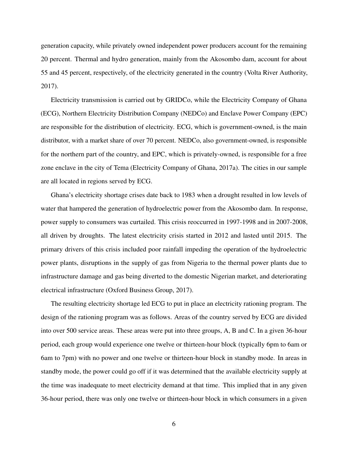generation capacity, while privately owned independent power producers account for the remaining 20 percent. Thermal and hydro generation, mainly from the Akosombo dam, account for about 55 and 45 percent, respectively, of the electricity generated in the country (Volta River Authority, 2017).

Electricity transmission is carried out by GRIDCo, while the Electricity Company of Ghana (ECG), Northern Electricity Distribution Company (NEDCo) and Enclave Power Company (EPC) are responsible for the distribution of electricity. ECG, which is government-owned, is the main distributor, with a market share of over 70 percent. NEDCo, also government-owned, is responsible for the northern part of the country, and EPC, which is privately-owned, is responsible for a free zone enclave in the city of Tema (Electricity Company of Ghana, 2017a). The cities in our sample are all located in regions served by ECG.

Ghana's electricity shortage crises date back to 1983 when a drought resulted in low levels of water that hampered the generation of hydroelectric power from the Akosombo dam. In response, power supply to consumers was curtailed. This crisis reoccurred in 1997-1998 and in 2007-2008, all driven by droughts. The latest electricity crisis started in 2012 and lasted until 2015. The primary drivers of this crisis included poor rainfall impeding the operation of the hydroelectric power plants, disruptions in the supply of gas from Nigeria to the thermal power plants due to infrastructure damage and gas being diverted to the domestic Nigerian market, and deteriorating electrical infrastructure (Oxford Business Group, 2017).

The resulting electricity shortage led ECG to put in place an electricity rationing program. The design of the rationing program was as follows. Areas of the country served by ECG are divided into over 500 service areas. These areas were put into three groups, A, B and C. In a given 36-hour period, each group would experience one twelve or thirteen-hour block (typically 6pm to 6am or 6am to 7pm) with no power and one twelve or thirteen-hour block in standby mode. In areas in standby mode, the power could go off if it was determined that the available electricity supply at the time was inadequate to meet electricity demand at that time. This implied that in any given 36-hour period, there was only one twelve or thirteen-hour block in which consumers in a given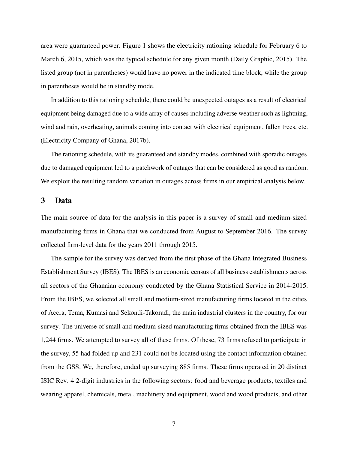area were guaranteed power. Figure 1 shows the electricity rationing schedule for February 6 to March 6, 2015, which was the typical schedule for any given month (Daily Graphic, 2015). The listed group (not in parentheses) would have no power in the indicated time block, while the group in parentheses would be in standby mode.

In addition to this rationing schedule, there could be unexpected outages as a result of electrical equipment being damaged due to a wide array of causes including adverse weather such as lightning, wind and rain, overheating, animals coming into contact with electrical equipment, fallen trees, etc. (Electricity Company of Ghana, 2017b).

The rationing schedule, with its guaranteed and standby modes, combined with sporadic outages due to damaged equipment led to a patchwork of outages that can be considered as good as random. We exploit the resulting random variation in outages across firms in our empirical analysis below.

#### 3 Data

The main source of data for the analysis in this paper is a survey of small and medium-sized manufacturing firms in Ghana that we conducted from August to September 2016. The survey collected firm-level data for the years 2011 through 2015.

The sample for the survey was derived from the first phase of the Ghana Integrated Business Establishment Survey (IBES). The IBES is an economic census of all business establishments across all sectors of the Ghanaian economy conducted by the Ghana Statistical Service in 2014-2015. From the IBES, we selected all small and medium-sized manufacturing firms located in the cities of Accra, Tema, Kumasi and Sekondi-Takoradi, the main industrial clusters in the country, for our survey. The universe of small and medium-sized manufacturing firms obtained from the IBES was 1,244 firms. We attempted to survey all of these firms. Of these, 73 firms refused to participate in the survey, 55 had folded up and 231 could not be located using the contact information obtained from the GSS. We, therefore, ended up surveying 885 firms. These firms operated in 20 distinct ISIC Rev. 4 2-digit industries in the following sectors: food and beverage products, textiles and wearing apparel, chemicals, metal, machinery and equipment, wood and wood products, and other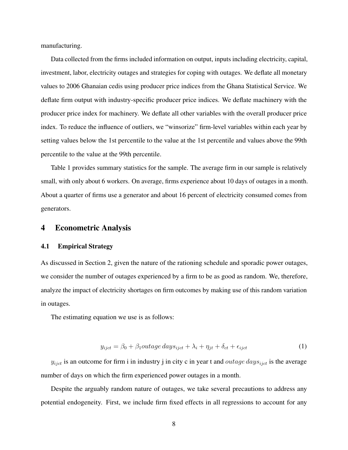manufacturing.

Data collected from the firms included information on output, inputs including electricity, capital, investment, labor, electricity outages and strategies for coping with outages. We deflate all monetary values to 2006 Ghanaian cedis using producer price indices from the Ghana Statistical Service. We deflate firm output with industry-specific producer price indices. We deflate machinery with the producer price index for machinery. We deflate all other variables with the overall producer price index. To reduce the influence of outliers, we "winsorize" firm-level variables within each year by setting values below the 1st percentile to the value at the 1st percentile and values above the 99th percentile to the value at the 99th percentile.

Table 1 provides summary statistics for the sample. The average firm in our sample is relatively small, with only about 6 workers. On average, firms experience about 10 days of outages in a month. About a quarter of firms use a generator and about 16 percent of electricity consumed comes from generators.

#### 4 Econometric Analysis

#### 4.1 Empirical Strategy

As discussed in Section 2, given the nature of the rationing schedule and sporadic power outages, we consider the number of outages experienced by a firm to be as good as random. We, therefore, analyze the impact of electricity shortages on firm outcomes by making use of this random variation in outages.

The estimating equation we use is as follows:

$$
y_{ijct} = \beta_0 + \beta_1 outage \, days_{ijct} + \lambda_i + \eta_{jt} + \delta_{ct} + \epsilon_{ijct}
$$
\n<sup>(1)</sup>

 $y_{ijct}$  is an outcome for firm i in industry j in city c in year t and *outage days* $_{ijct}$  is the average number of days on which the firm experienced power outages in a month.

Despite the arguably random nature of outages, we take several precautions to address any potential endogeneity. First, we include firm fixed effects in all regressions to account for any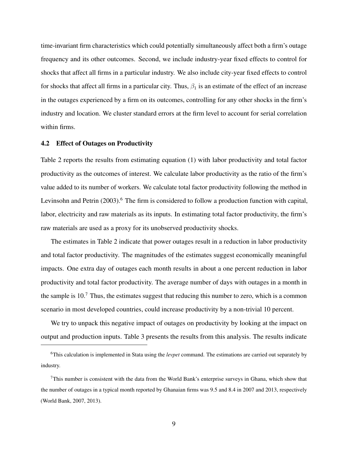time-invariant firm characteristics which could potentially simultaneously affect both a firm's outage frequency and its other outcomes. Second, we include industry-year fixed effects to control for shocks that affect all firms in a particular industry. We also include city-year fixed effects to control for shocks that affect all firms in a particular city. Thus,  $\beta_1$  is an estimate of the effect of an increase in the outages experienced by a firm on its outcomes, controlling for any other shocks in the firm's industry and location. We cluster standard errors at the firm level to account for serial correlation within firms.

#### 4.2 Effect of Outages on Productivity

Table 2 reports the results from estimating equation (1) with labor productivity and total factor productivity as the outcomes of interest. We calculate labor productivity as the ratio of the firm's value added to its number of workers. We calculate total factor productivity following the method in Levinsohn and Petrin  $(2003)$ .<sup>6</sup> The firm is considered to follow a production function with capital, labor, electricity and raw materials as its inputs. In estimating total factor productivity, the firm's raw materials are used as a proxy for its unobserved productivity shocks.

The estimates in Table 2 indicate that power outages result in a reduction in labor productivity and total factor productivity. The magnitudes of the estimates suggest economically meaningful impacts. One extra day of outages each month results in about a one percent reduction in labor productivity and total factor productivity. The average number of days with outages in a month in the sample is  $10<sup>7</sup>$ . Thus, the estimates suggest that reducing this number to zero, which is a common scenario in most developed countries, could increase productivity by a non-trivial 10 percent.

We try to unpack this negative impact of outages on productivity by looking at the impact on output and production inputs. Table 3 presents the results from this analysis. The results indicate

<sup>6</sup>This calculation is implemented in Stata using the *levpet* command. The estimations are carried out separately by industry.

 $7$ This number is consistent with the data from the World Bank's enterprise surveys in Ghana, which show that the number of outages in a typical month reported by Ghanaian firms was 9.5 and 8.4 in 2007 and 2013, respectively (World Bank, 2007, 2013).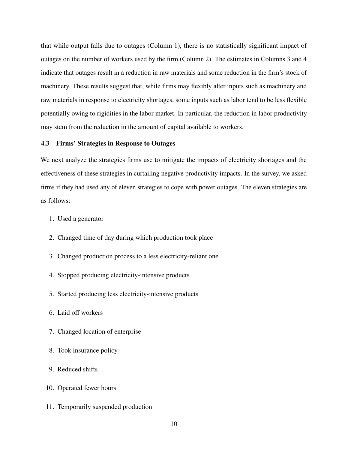that while output falls due to outages (Column 1), there is no statistically significant impact of outages on the number of workers used by the firm (Column 2). The estimates in Columns 3 and 4 indicate that outages result in a reduction in raw materials and some reduction in the firm's stock of machinery. These results suggest that, while firms may flexibly alter inputs such as machinery and raw materials in response to electricity shortages, some inputs such as labor tend to be less flexible potentially owing to rigidities in the labor market. In particular, the reduction in labor productivity may stem from the reduction in the amount of capital available to workers.

#### 4.3 Firms' Strategies in Response to Outages

We next analyze the strategies firms use to mitigate the impacts of electricity shortages and the effectiveness of these strategies in curtailing negative productivity impacts. In the survey, we asked firms if they had used any of eleven strategies to cope with power outages. The eleven strategies are as follows:

- 1. Used a generator
- 2. Changed time of day during which production took place
- 3. Changed production process to a less electricity-reliant one
- 4. Stopped producing electricity-intensive products
- 5. Started producing less electricity-intensive products
- 6. Laid off workers
- 7. Changed location of enterprise
- 8. Took insurance policy
- 9. Reduced shifts
- 10. Operated fewer hours
- 11. Temporarily suspended production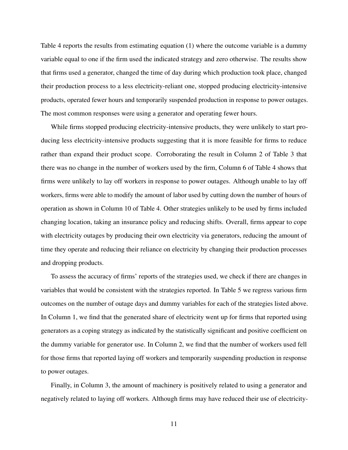Table 4 reports the results from estimating equation (1) where the outcome variable is a dummy variable equal to one if the firm used the indicated strategy and zero otherwise. The results show that firms used a generator, changed the time of day during which production took place, changed their production process to a less electricity-reliant one, stopped producing electricity-intensive products, operated fewer hours and temporarily suspended production in response to power outages. The most common responses were using a generator and operating fewer hours.

While firms stopped producing electricity-intensive products, they were unlikely to start producing less electricity-intensive products suggesting that it is more feasible for firms to reduce rather than expand their product scope. Corroborating the result in Column 2 of Table 3 that there was no change in the number of workers used by the firm, Column 6 of Table 4 shows that firms were unlikely to lay off workers in response to power outages. Although unable to lay off workers, firms were able to modify the amount of labor used by cutting down the number of hours of operation as shown in Column 10 of Table 4. Other strategies unlikely to be used by firms included changing location, taking an insurance policy and reducing shifts. Overall, firms appear to cope with electricity outages by producing their own electricity via generators, reducing the amount of time they operate and reducing their reliance on electricity by changing their production processes and dropping products.

To assess the accuracy of firms' reports of the strategies used, we check if there are changes in variables that would be consistent with the strategies reported. In Table 5 we regress various firm outcomes on the number of outage days and dummy variables for each of the strategies listed above. In Column 1, we find that the generated share of electricity went up for firms that reported using generators as a coping strategy as indicated by the statistically significant and positive coefficient on the dummy variable for generator use. In Column 2, we find that the number of workers used fell for those firms that reported laying off workers and temporarily suspending production in response to power outages.

Finally, in Column 3, the amount of machinery is positively related to using a generator and negatively related to laying off workers. Although firms may have reduced their use of electricity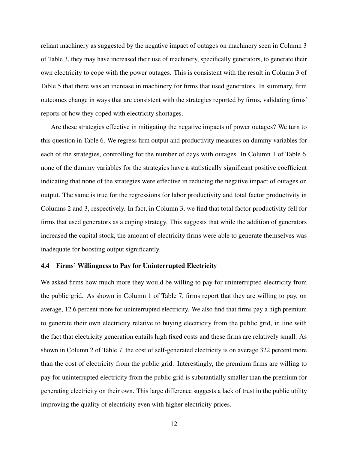reliant machinery as suggested by the negative impact of outages on machinery seen in Column 3 of Table 3, they may have increased their use of machinery, specifically generators, to generate their own electricity to cope with the power outages. This is consistent with the result in Column 3 of Table 5 that there was an increase in machinery for firms that used generators. In summary, firm outcomes change in ways that are consistent with the strategies reported by firms, validating firms' reports of how they coped with electricity shortages.

Are these strategies effective in mitigating the negative impacts of power outages? We turn to this question in Table 6. We regress firm output and productivity measures on dummy variables for each of the strategies, controlling for the number of days with outages. In Column 1 of Table 6, none of the dummy variables for the strategies have a statistically significant positive coefficient indicating that none of the strategies were effective in reducing the negative impact of outages on output. The same is true for the regressions for labor productivity and total factor productivity in Columns 2 and 3, respectively. In fact, in Column 3, we find that total factor productivity fell for firms that used generators as a coping strategy. This suggests that while the addition of generators increased the capital stock, the amount of electricity firms were able to generate themselves was inadequate for boosting output significantly.

#### 4.4 Firms' Willingness to Pay for Uninterrupted Electricity

We asked firms how much more they would be willing to pay for uninterrupted electricity from the public grid. As shown in Column 1 of Table 7, firms report that they are willing to pay, on average, 12.6 percent more for uninterrupted electricity. We also find that firms pay a high premium to generate their own electricity relative to buying electricity from the public grid, in line with the fact that electricity generation entails high fixed costs and these firms are relatively small. As shown in Column 2 of Table 7, the cost of self-generated electricity is on average 322 percent more than the cost of electricity from the public grid. Interestingly, the premium firms are willing to pay for uninterrupted electricity from the public grid is substantially smaller than the premium for generating electricity on their own. This large difference suggests a lack of trust in the public utility improving the quality of electricity even with higher electricity prices.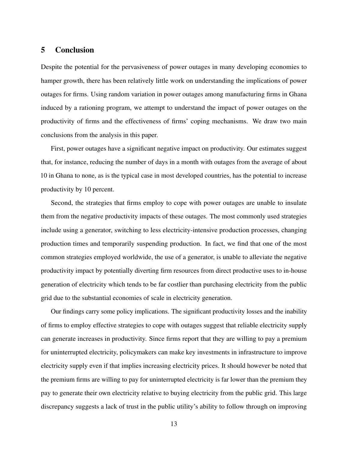## 5 Conclusion

Despite the potential for the pervasiveness of power outages in many developing economies to hamper growth, there has been relatively little work on understanding the implications of power outages for firms. Using random variation in power outages among manufacturing firms in Ghana induced by a rationing program, we attempt to understand the impact of power outages on the productivity of firms and the effectiveness of firms' coping mechanisms. We draw two main conclusions from the analysis in this paper.

First, power outages have a significant negative impact on productivity. Our estimates suggest that, for instance, reducing the number of days in a month with outages from the average of about 10 in Ghana to none, as is the typical case in most developed countries, has the potential to increase productivity by 10 percent.

Second, the strategies that firms employ to cope with power outages are unable to insulate them from the negative productivity impacts of these outages. The most commonly used strategies include using a generator, switching to less electricity-intensive production processes, changing production times and temporarily suspending production. In fact, we find that one of the most common strategies employed worldwide, the use of a generator, is unable to alleviate the negative productivity impact by potentially diverting firm resources from direct productive uses to in-house generation of electricity which tends to be far costlier than purchasing electricity from the public grid due to the substantial economies of scale in electricity generation.

Our findings carry some policy implications. The significant productivity losses and the inability of firms to employ effective strategies to cope with outages suggest that reliable electricity supply can generate increases in productivity. Since firms report that they are willing to pay a premium for uninterrupted electricity, policymakers can make key investments in infrastructure to improve electricity supply even if that implies increasing electricity prices. It should however be noted that the premium firms are willing to pay for uninterrupted electricity is far lower than the premium they pay to generate their own electricity relative to buying electricity from the public grid. This large discrepancy suggests a lack of trust in the public utility's ability to follow through on improving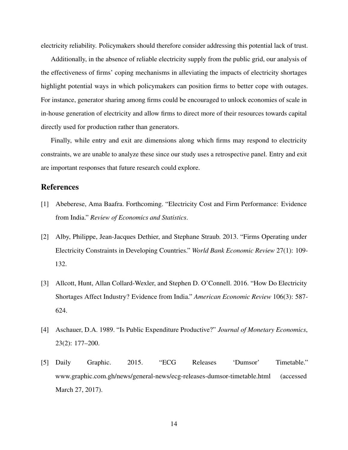electricity reliability. Policymakers should therefore consider addressing this potential lack of trust.

Additionally, in the absence of reliable electricity supply from the public grid, our analysis of the effectiveness of firms' coping mechanisms in alleviating the impacts of electricity shortages highlight potential ways in which policymakers can position firms to better cope with outages. For instance, generator sharing among firms could be encouraged to unlock economies of scale in in-house generation of electricity and allow firms to direct more of their resources towards capital directly used for production rather than generators.

Finally, while entry and exit are dimensions along which firms may respond to electricity constraints, we are unable to analyze these since our study uses a retrospective panel. Entry and exit are important responses that future research could explore.

# **References**

- [1] Abeberese, Ama Baafra. Forthcoming. "Electricity Cost and Firm Performance: Evidence from India." *Review of Economics and Statistics*.
- [2] Alby, Philippe, Jean-Jacques Dethier, and Stephane Straub. 2013. "Firms Operating under Electricity Constraints in Developing Countries." *World Bank Economic Review* 27(1): 109- 132.
- [3] Allcott, Hunt, Allan Collard-Wexler, and Stephen D. O'Connell. 2016. "How Do Electricity Shortages Affect Industry? Evidence from India." *American Economic Review* 106(3): 587- 624.
- [4] Aschauer, D.A. 1989. "Is Public Expenditure Productive?" *Journal of Monetary Economics*, 23(2): 177–200.
- [5] Daily Graphic. 2015. "ECG Releases 'Dumsor' Timetable." www.graphic.com.gh/news/general-news/ecg-releases-dumsor-timetable.html (accessed March 27, 2017).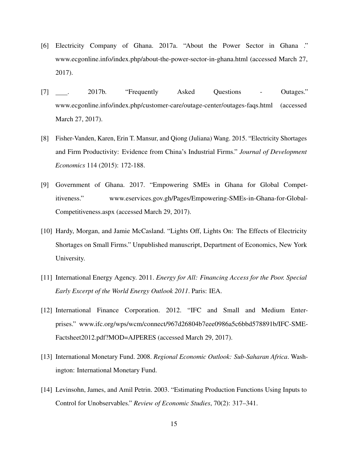- [6] Electricity Company of Ghana. 2017a. "About the Power Sector in Ghana ." www.ecgonline.info/index.php/about-the-power-sector-in-ghana.html (accessed March 27, 2017).
- [7] . 2017b. "Frequently Asked Questions Outages." www.ecgonline.info/index.php/customer-care/outage-center/outages-faqs.html (accessed March 27, 2017).
- [8] Fisher-Vanden, Karen, Erin T. Mansur, and Qiong (Juliana) Wang. 2015. "Electricity Shortages and Firm Productivity: Evidence from China's Industrial Firms." *Journal of Development Economics* 114 (2015): 172-188.
- [9] Government of Ghana. 2017. "Empowering SMEs in Ghana for Global Competitiveness." www.eservices.gov.gh/Pages/Empowering-SMEs-in-Ghana-for-Global-Competitiveness.aspx (accessed March 29, 2017).
- [10] Hardy, Morgan, and Jamie McCasland. "Lights Off, Lights On: The Effects of Electricity Shortages on Small Firms." Unpublished manuscript, Department of Economics, New York University.
- [11] International Energy Agency. 2011. *Energy for All: Financing Access for the Poor. Special Early Excerpt of the World Energy Outlook 2011*. Paris: IEA.
- [12] International Finance Corporation. 2012. "IFC and Small and Medium Enterprises." www.ifc.org/wps/wcm/connect/967d26804b7eee0986a5c6bbd578891b/IFC-SME-Factsheet2012.pdf?MOD=AJPERES (accessed March 29, 2017).
- [13] International Monetary Fund. 2008. *Regional Economic Outlook: Sub-Saharan Africa*. Washington: International Monetary Fund.
- [14] Levinsohn, James, and Amil Petrin. 2003. "Estimating Production Functions Using Inputs to Control for Unobservables." *Review of Economic Studies*, 70(2): 317–341.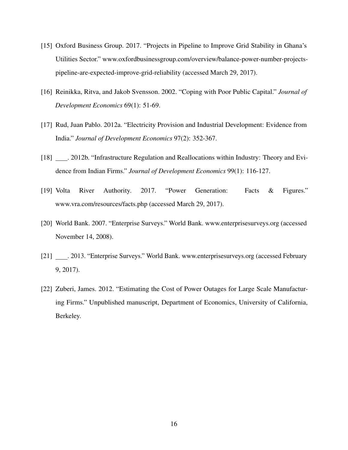- [15] Oxford Business Group. 2017. "Projects in Pipeline to Improve Grid Stability in Ghana's Utilities Sector." www.oxfordbusinessgroup.com/overview/balance-power-number-projectspipeline-are-expected-improve-grid-reliability (accessed March 29, 2017).
- [16] Reinikka, Ritva, and Jakob Svensson. 2002. "Coping with Poor Public Capital." *Journal of Development Economics* 69(1): 51-69.
- [17] Rud, Juan Pablo. 2012a. "Electricity Provision and Industrial Development: Evidence from India." *Journal of Development Economics* 97(2): 352-367.
- [18] . 2012b. "Infrastructure Regulation and Reallocations within Industry: Theory and Evidence from Indian Firms." *Journal of Development Economics* 99(1): 116-127.
- [19] Volta River Authority. 2017. "Power Generation: Facts & Figures." www.vra.com/resources/facts.php (accessed March 29, 2017).
- [20] World Bank. 2007. "Enterprise Surveys." World Bank. www.enterprisesurveys.org (accessed November 14, 2008).
- [21] . 2013. "Enterprise Surveys." World Bank. www.enterprisesurveys.org (accessed February 9, 2017).
- [22] Zuberi, James. 2012. "Estimating the Cost of Power Outages for Large Scale Manufacturing Firms." Unpublished manuscript, Department of Economics, University of California, Berkeley.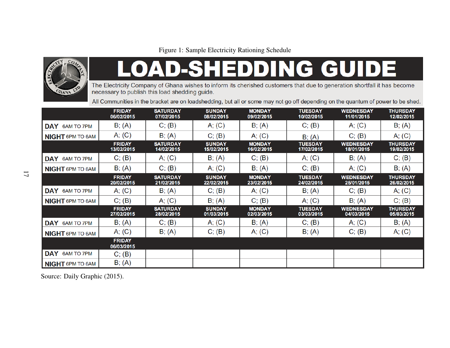

# **SHEDDING GUIDE**

The Electricity Company of Ghana wishes to inform its cherished customers that due to generation shortfall it has become necessary to publish this load shedding guide.

All Communities in the bracket are on loadshedding, but all or some may not go off depending on the quantum of power to be shed.

|                                 | <b>FRIDAY</b><br>06/02/2015 | <b>SATURDAY</b><br>07/02/2015 | <b>SUNDAY</b><br>08/02/2015 | <b>MONDAY</b><br>09/02/2015 | <b>TUESDAY</b><br>10/02/2015 | <b>WEDNESDAY</b><br>11/01/2015 | <b>THURSDAY</b><br>12/02/2015 |
|---------------------------------|-----------------------------|-------------------------------|-----------------------------|-----------------------------|------------------------------|--------------------------------|-------------------------------|
| DAY<br><b>6AM TO 7PM</b>        | B; (A)                      | C; (B)                        | A; (C)                      | B; (A)                      | C; (B)                       | A; (C)                         | B; (A)                        |
| <b>NIGHT 6PM TO 6AM</b>         | A; (C)                      | B; (A)                        | C; (B)                      | A; (C)                      | $B$ ; $(A)$                  | C; (B)                         | A; (C)                        |
|                                 | <b>FRIDAY</b><br>13/02/2015 | <b>SATURDAY</b><br>14/02/2015 | <b>SUNDAY</b><br>15/02/2015 | <b>MONDAY</b><br>16/02/2015 | <b>TUESDAY</b><br>17/02/2015 | <b>WEDNESDAY</b><br>18/01/2015 | <b>THURSDAY</b><br>19/02/2015 |
| <b>DAY</b><br><b>6AM TO 7PM</b> | C; (B)                      | A; (C)                        | B; (A)                      | C; (B)                      | A; (C)                       | B; (A)                         | C; (B)                        |
| <b>NIGHT 6PM TO 6AM</b>         | B; (A)                      | C; (B)                        | A; (C)                      | B; (A)                      | C; (B)                       | A; (C)                         | B; (A)                        |
|                                 | <b>FRIDAY</b><br>20/02/2015 | <b>SATURDAY</b><br>21/02/2015 | <b>SUNDAY</b><br>22/02/2015 | <b>MONDAY</b><br>23/02/2015 | <b>TUESDAY</b><br>24/02/2015 | <b>WEDNESDAY</b><br>25/01/2015 | <b>THURSDAY</b><br>26/02/2015 |
| DAY 6AM TO 7PM                  | A; (C)                      | B; (A)                        | C; (B)                      | A; (C)                      | B; (A)                       | C; (B)                         | A; (C)                        |
| <b>NIGHT 6PM TO 6AM</b>         | C; (B)                      | A; (C)                        | B; (A)                      | C; (B)                      | A; (C)                       | B; (A)                         | C; (B)                        |
|                                 | <b>FRIDAY</b><br>27/02/2015 | <b>SATURDAY</b><br>28/02/2015 | <b>SUNDAY</b><br>01/03/2015 | <b>MONDAY</b><br>02/03/2015 | <b>TUESDAY</b><br>03/03/2015 | <b>WEDNESDAY</b><br>04/03/2015 | <b>THURSDAY</b><br>05/03/2015 |
| DAY<br><b>6AM TO 7PM</b>        | B; (A)                      | C; (B)                        | A; (C)                      | B; (A)                      | C; (B)                       | A; (C)                         | B; (A)                        |
| <b>NIGHT 6PM TO 6AM</b>         | A; (C)                      | B; (A)                        | C; (B)                      | A; (C)                      | B; (A)                       | C; (B)                         | A; (C)                        |
|                                 | <b>FRIDAY</b><br>06/03/2015 |                               |                             |                             |                              |                                |                               |
| <b>DAY</b><br><b>6AM TO 7PM</b> | C; (B)                      |                               |                             |                             |                              |                                |                               |
| <b>NIGHT 6PM TO 6AM</b>         | B; (A)                      |                               |                             |                             |                              |                                |                               |

Source: Daily Graphic (2015).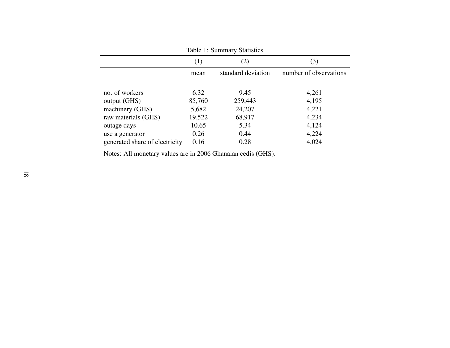| Table 1: Summary Statistics    |        |                    |                        |  |
|--------------------------------|--------|--------------------|------------------------|--|
|                                | (1)    | (3)                |                        |  |
|                                | mean   | standard deviation | number of observations |  |
|                                |        |                    |                        |  |
| no. of workers                 | 6.32   | 9.45               | 4,261                  |  |
| output (GHS)                   | 85,760 | 259,443            | 4,195                  |  |
| machinery (GHS)                | 5,682  | 24,207             | 4,221                  |  |
| raw materials (GHS)            | 19,522 | 68,917             | 4,234                  |  |
| outage days                    | 10.65  | 5.34               | 4,124                  |  |
| use a generator                | 0.26   | 0.44               | 4,224                  |  |
| generated share of electricity | 0.16   | 0.28               | 4,024                  |  |

Notes: All monetary values are in 2006 Ghanaian cedis (GHS).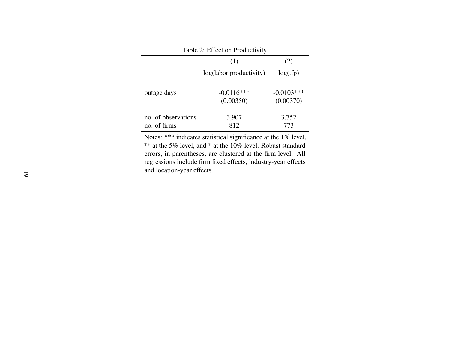| Table 2: Effect on Productivity     |                           |                           |  |  |
|-------------------------------------|---------------------------|---------------------------|--|--|
|                                     | (2)                       |                           |  |  |
|                                     | log(labor productivity)   | log(tfp)                  |  |  |
| outage days                         | $-0.0116***$<br>(0.00350) | $-0.0103***$<br>(0.00370) |  |  |
| no. of observations<br>no. of firms | 3,907<br>812              | 3,752<br>773              |  |  |

Notes: \*\*\* indicates statistical significance at the 1% level, \*\* at the 5% level, and \* at the 10% level. Robust standard errors, in parentheses, are clustered at the firm level. All regressions include firm fixed effects, industry-year effectsand location-year effects.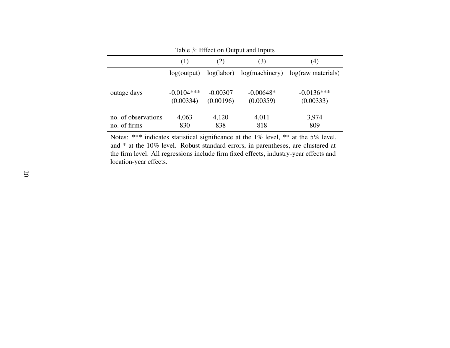| Table 3: Effect on Output and Inputs |                           |                         |                          |                           |  |  |
|--------------------------------------|---------------------------|-------------------------|--------------------------|---------------------------|--|--|
|                                      | (1)                       | (4)<br>(2)<br>(3)       |                          |                           |  |  |
|                                      | log(output)               | log(labor)              | log(maxhinery)           | log(raw materials)        |  |  |
| outage days                          | $-0.0104***$<br>(0.00334) | $-0.00307$<br>(0.00196) | $-0.00648*$<br>(0.00359) | $-0.0136***$<br>(0.00333) |  |  |
| no. of observations<br>no. of firms  | 4,063<br>830              | 4,120<br>838            | 4,011<br>818             | 3,974<br>809              |  |  |

Notes: \*\*\* indicates statistical significance at the 1% level, \*\* at the 5% level, and \* at the 10% level. Robust standard errors, in parentheses, are clustered at the firm level. All regressions include firm fixed effects, industry-year effects andlocation-year effects.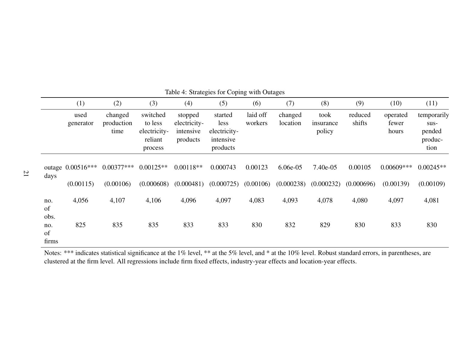|                            | (1)                              | (2)                           | (3)                                                       | (4)                                              | (5)                                                      | (6)                  | (7)                      | (8)                         | (9)                   | (10)                       | (11)                                               |
|----------------------------|----------------------------------|-------------------------------|-----------------------------------------------------------|--------------------------------------------------|----------------------------------------------------------|----------------------|--------------------------|-----------------------------|-----------------------|----------------------------|----------------------------------------------------|
|                            | used<br>generator                | changed<br>production<br>time | switched<br>to less<br>electricity-<br>reliant<br>process | stopped<br>electricity-<br>intensive<br>products | started<br>less<br>electricity-<br>intensive<br>products | laid off<br>workers  | changed<br>location      | took<br>insurance<br>policy | reduced<br>shifts     | operated<br>fewer<br>hours | temporarily<br>$SUS-$<br>pended<br>produc-<br>tion |
| days                       | outage $0.00516***$<br>(0.00115) | $0.00377***$<br>(0.00106)     | $0.00125**$<br>(0.000608)                                 | $0.00118**$<br>(0.000481)                        | 0.000743<br>(0.000725)                                   | 0.00123<br>(0.00106) | $6.06e-05$<br>(0.000238) | $7.40e-05$<br>(0.000232)    | 0.00105<br>(0.000696) | $0.00609$ ***<br>(0.00139) | $0.00245**$<br>(0.00109)                           |
| no.<br>of                  | 4,056                            | 4,107                         | 4,106                                                     | 4,096                                            | 4,097                                                    | 4,083                | 4,093                    | 4,078                       | 4,080                 | 4,097                      | 4,081                                              |
| obs.<br>no.<br>of<br>firms | 825                              | 835                           | 835                                                       | 833                                              | 833                                                      | 830                  | 832                      | 829                         | 830                   | 833                        | 830                                                |

Table 4: Strategies for Coping with Outages

Notes: \*\*\* indicates statistical significance at the 1% level, \*\* at the 5% level, and \* at the 10% level. Robust standard errors, in parentheses, are clustered at the firm level. All regressions include firm fixed effects, industry-year effects and location-year effects.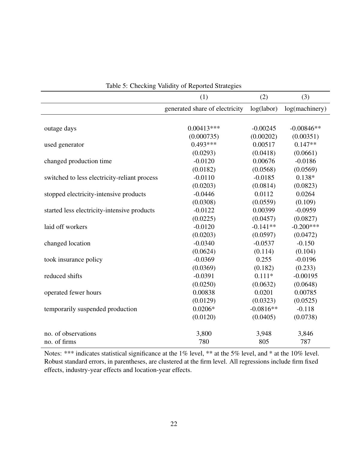|                                              | (1)                            | (2)         | (3)            |
|----------------------------------------------|--------------------------------|-------------|----------------|
|                                              | generated share of electricity | log(labor)  | log(machinery) |
|                                              |                                |             |                |
| outage days                                  | $0.00413***$                   | $-0.00245$  | $-0.00846**$   |
|                                              | (0.000735)                     | (0.00202)   | (0.00351)      |
| used generator                               | $0.493***$                     | 0.00517     | $0.147**$      |
|                                              | (0.0293)                       | (0.0418)    | (0.0661)       |
| changed production time                      | $-0.0120$                      | 0.00676     | $-0.0186$      |
|                                              | (0.0182)                       | (0.0568)    | (0.0569)       |
| switched to less electricity-reliant process | $-0.0110$                      | $-0.0185$   | $0.138*$       |
|                                              | (0.0203)                       | (0.0814)    | (0.0823)       |
| stopped electricity-intensive products       | $-0.0446$                      | 0.0112      | 0.0264         |
|                                              | (0.0308)                       | (0.0559)    | (0.109)        |
| started less electricity-intensive products  | $-0.0122$                      | 0.00399     | $-0.0959$      |
|                                              | (0.0225)                       | (0.0457)    | (0.0827)       |
| laid off workers                             | $-0.0120$                      | $-0.141**$  | $-0.200***$    |
|                                              | (0.0203)                       | (0.0597)    | (0.0472)       |
| changed location                             | $-0.0340$                      | $-0.0537$   | $-0.150$       |
|                                              | (0.0624)                       | (0.114)     | (0.104)        |
| took insurance policy                        | $-0.0369$                      | 0.255       | $-0.0196$      |
|                                              | (0.0369)                       | (0.182)     | (0.233)        |
| reduced shifts                               | $-0.0391$                      | $0.111*$    | $-0.00195$     |
|                                              | (0.0250)                       | (0.0632)    | (0.0648)       |
| operated fewer hours                         | 0.00838                        | 0.0201      | 0.00785        |
|                                              | (0.0129)                       | (0.0323)    | (0.0525)       |
| temporarily suspended production             | $0.0206*$                      | $-0.0816**$ | $-0.118$       |
|                                              | (0.0120)                       | (0.0405)    | (0.0738)       |
| no. of observations                          | 3,800                          | 3,948       | 3,846          |
| no. of firms                                 | 780                            | 805         | 787            |

Table 5: Checking Validity of Reported Strategies

Notes: \*\*\* indicates statistical significance at the 1% level, \*\* at the 5% level, and \* at the 10% level. Robust standard errors, in parentheses, are clustered at the firm level. All regressions include firm fixed effects, industry-year effects and location-year effects.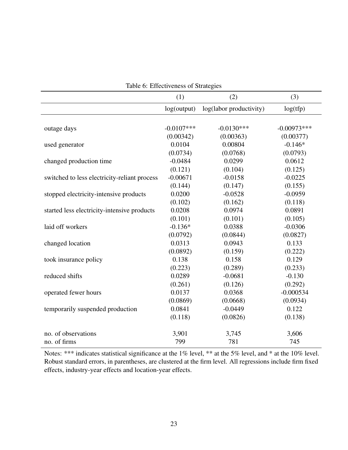|                                              | Table 6: Effectiveness of Strategies |                         |               |
|----------------------------------------------|--------------------------------------|-------------------------|---------------|
|                                              | (1)                                  | (2)                     | (3)           |
|                                              | log(output)                          | log(labor productivity) | log(tfp)      |
|                                              |                                      |                         |               |
| outage days                                  | $-0.0107***$                         | $-0.0130***$            | $-0.00973***$ |
|                                              | (0.00342)                            | (0.00363)               | (0.00377)     |
| used generator                               | 0.0104                               | 0.00804                 | $-0.146*$     |
|                                              | (0.0734)                             | (0.0768)                | (0.0793)      |
| changed production time                      | $-0.0484$                            | 0.0299                  | 0.0612        |
|                                              | (0.121)                              | (0.104)                 | (0.125)       |
| switched to less electricity-reliant process | $-0.00671$                           | $-0.0158$               | $-0.0225$     |
|                                              | (0.144)                              | (0.147)                 | (0.155)       |
| stopped electricity-intensive products       | 0.0200                               | $-0.0528$               | $-0.0959$     |
|                                              | (0.102)                              | (0.162)                 | (0.118)       |
| started less electricity-intensive products  | 0.0208                               | 0.0974                  | 0.0891        |
|                                              | (0.101)                              | (0.101)                 | (0.105)       |
| laid off workers                             | $-0.136*$                            | 0.0388                  | $-0.0306$     |
|                                              | (0.0792)                             | (0.0844)                | (0.0827)      |
| changed location                             | 0.0313                               | 0.0943                  | 0.133         |
|                                              | (0.0892)                             | (0.159)                 | (0.222)       |
| took insurance policy                        | 0.138                                | 0.158                   | 0.129         |
|                                              | (0.223)                              | (0.289)                 | (0.233)       |
| reduced shifts                               | 0.0289                               | $-0.0681$               | $-0.130$      |
|                                              | (0.261)                              | (0.126)                 | (0.292)       |
| operated fewer hours                         | 0.0137                               | 0.0368                  | $-0.000534$   |
|                                              | (0.0869)                             | (0.0668)                | (0.0934)      |
| temporarily suspended production             | 0.0841                               | $-0.0449$               | 0.122         |
|                                              | (0.118)                              | (0.0826)                | (0.138)       |
| no. of observations                          | 3,901                                | 3,745                   | 3,606         |
| no. of firms                                 | 799                                  | 781                     | 745           |

Table 6: Effectiveness of Strategies

Notes: \*\*\* indicates statistical significance at the 1% level, \*\* at the 5% level, and \* at the 10% level. Robust standard errors, in parentheses, are clustered at the firm level. All regressions include firm fixed effects, industry-year effects and location-year effects.